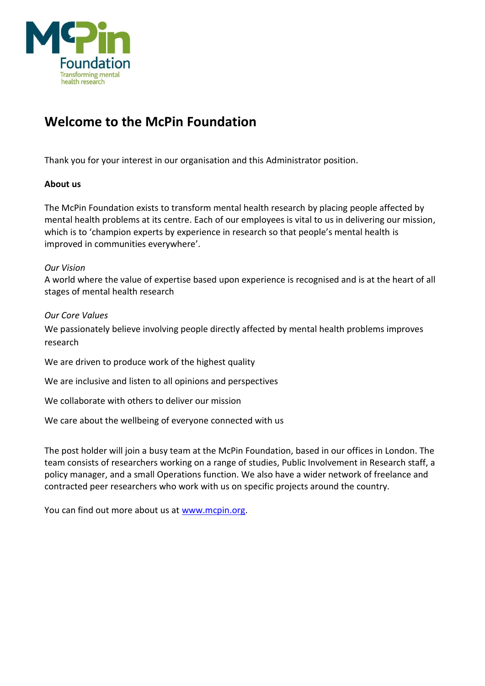

# **Welcome to the McPin Foundation**

Thank you for your interest in our organisation and this Administrator position.

#### **About us**

The McPin Foundation exists to transform mental health research by placing people affected by mental health problems at its centre. Each of our employees is vital to us in delivering our mission, which is to 'champion experts by experience in research so that people's mental health is improved in communities everywhere'.

#### *Our Vision*

A world where the value of expertise based upon experience is recognised and is at the heart of all stages of mental health research

#### *Our Core Values*

We passionately believe involving people directly affected by mental health problems improves research

We are driven to produce work of the highest quality

We are inclusive and listen to all opinions and perspectives

We collaborate with others to deliver our mission

We care about the wellbeing of everyone connected with us

The post holder will join a busy team at the McPin Foundation, based in our offices in London. The team consists of researchers working on a range of studies, Public Involvement in Research staff, a policy manager, and a small Operations function. We also have a wider network of freelance and contracted peer researchers who work with us on specific projects around the country.

You can find out more about us at [www.mcpin.org.](http://www.mcpin.org/)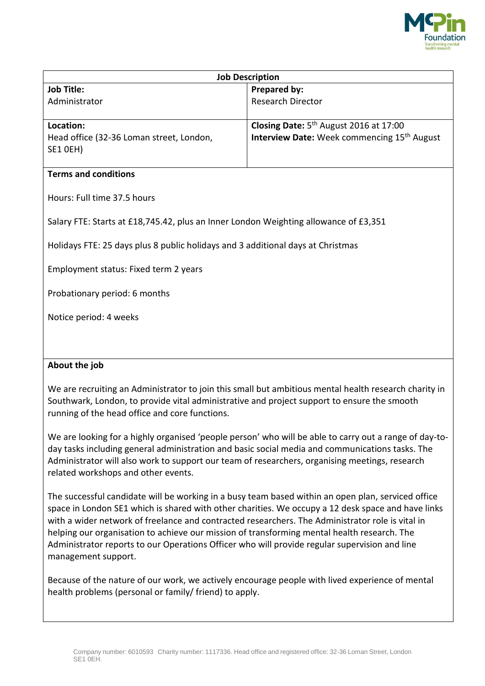

| <b>Job Description</b>                                                               |                                                                |
|--------------------------------------------------------------------------------------|----------------------------------------------------------------|
| <b>Job Title:</b>                                                                    | Prepared by:                                                   |
| Administrator                                                                        | Research Director                                              |
|                                                                                      |                                                                |
| Location:                                                                            | Closing Date: 5 <sup>th</sup> August 2016 at 17:00             |
| Head office (32-36 Loman street, London,                                             | <b>Interview Date:</b> Week commencing 15 <sup>th</sup> August |
| <b>SE1 OEH)</b>                                                                      |                                                                |
| <b>Terms and conditions</b>                                                          |                                                                |
| Hours: Full time 37.5 hours                                                          |                                                                |
| Salary FTE: Starts at £18,745.42, plus an Inner London Weighting allowance of £3,351 |                                                                |
| Holidays FTE: 25 days plus 8 public holidays and 3 additional days at Christmas      |                                                                |
| Employment status: Fixed term 2 years                                                |                                                                |
| Probationary period: 6 months                                                        |                                                                |
| Notice period: 4 weeks                                                               |                                                                |
|                                                                                      |                                                                |
| About the job                                                                        |                                                                |

We are recruiting an Administrator to join this small but ambitious mental health research charity in Southwark, London, to provide vital administrative and project support to ensure the smooth running of the head office and core functions.

We are looking for a highly organised 'people person' who will be able to carry out a range of day-today tasks including general administration and basic social media and communications tasks. The Administrator will also work to support our team of researchers, organising meetings, research related workshops and other events.

The successful candidate will be working in a busy team based within an open plan, serviced office space in London SE1 which is shared with other charities. We occupy a 12 desk space and have links with a wider network of freelance and contracted researchers. The Administrator role is vital in helping our organisation to achieve our mission of transforming mental health research. The Administrator reports to our Operations Officer who will provide regular supervision and line management support.

Because of the nature of our work, we actively encourage people with lived experience of mental health problems (personal or family/ friend) to apply.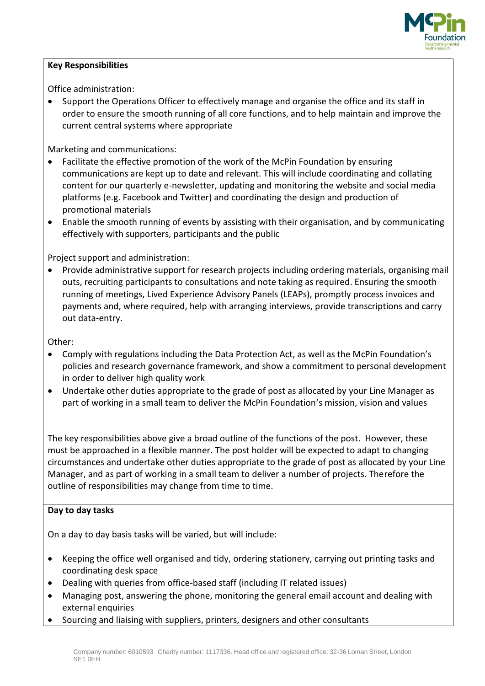

#### **Key Responsibilities**

Office administration:

• Support the Operations Officer to effectively manage and organise the office and its staff in order to ensure the smooth running of all core functions, and to help maintain and improve the current central systems where appropriate

Marketing and communications:

- Facilitate the effective promotion of the work of the McPin Foundation by ensuring communications are kept up to date and relevant. This will include coordinating and collating content for our quarterly e-newsletter, updating and monitoring the website and social media platforms (e.g. Facebook and Twitter) and coordinating the design and production of promotional materials
- Enable the smooth running of events by assisting with their organisation, and by communicating effectively with supporters, participants and the public

Project support and administration:

 Provide administrative support for research projects including ordering materials, organising mail outs, recruiting participants to consultations and note taking as required. Ensuring the smooth running of meetings, Lived Experience Advisory Panels (LEAPs), promptly process invoices and payments and, where required, help with arranging interviews, provide transcriptions and carry out data-entry.

Other:

- Comply with regulations including the Data Protection Act, as well as the McPin Foundation's policies and research governance framework, and show a commitment to personal development in order to deliver high quality work
- Undertake other duties appropriate to the grade of post as allocated by your Line Manager as part of working in a small team to deliver the McPin Foundation's mission, vision and values

The key responsibilities above give a broad outline of the functions of the post. However, these must be approached in a flexible manner. The post holder will be expected to adapt to changing circumstances and undertake other duties appropriate to the grade of post as allocated by your Line Manager, and as part of working in a small team to deliver a number of projects. Therefore the outline of responsibilities may change from time to time.

#### **Day to day tasks**

On a day to day basis tasks will be varied, but will include:

- Keeping the office well organised and tidy, ordering stationery, carrying out printing tasks and coordinating desk space
- Dealing with queries from office-based staff (including IT related issues)
- Managing post, answering the phone, monitoring the general email account and dealing with external enquiries
- Sourcing and liaising with suppliers, printers, designers and other consultants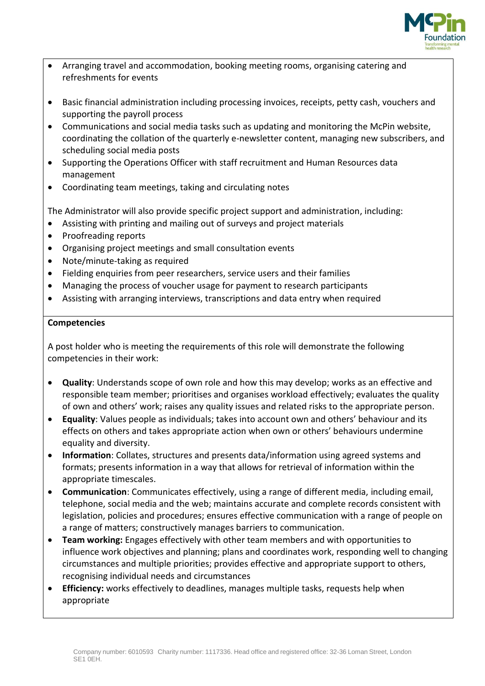

- Arranging travel and accommodation, booking meeting rooms, organising catering and refreshments for events
- Basic financial administration including processing invoices, receipts, petty cash, vouchers and supporting the payroll process
- Communications and social media tasks such as updating and monitoring the McPin website, coordinating the collation of the quarterly e-newsletter content, managing new subscribers, and scheduling social media posts
- Supporting the Operations Officer with staff recruitment and Human Resources data management
- Coordinating team meetings, taking and circulating notes

The Administrator will also provide specific project support and administration, including:

- Assisting with printing and mailing out of surveys and project materials
- Proofreading reports
- Organising project meetings and small consultation events
- Note/minute-taking as required
- Fielding enquiries from peer researchers, service users and their families
- Managing the process of voucher usage for payment to research participants
- Assisting with arranging interviews, transcriptions and data entry when required

#### **Competencies**

A post holder who is meeting the requirements of this role will demonstrate the following competencies in their work:

- **Quality**: Understands scope of own role and how this may develop; works as an effective and responsible team member; prioritises and organises workload effectively; evaluates the quality of own and others' work; raises any quality issues and related risks to the appropriate person.
- **Equality**: Values people as individuals; takes into account own and others' behaviour and its effects on others and takes appropriate action when own or others' behaviours undermine equality and diversity.
- **Information**: Collates, structures and presents data/information using agreed systems and formats; presents information in a way that allows for retrieval of information within the appropriate timescales.
- **Communication**: Communicates effectively, using a range of different media, including email, telephone, social media and the web; maintains accurate and complete records consistent with legislation, policies and procedures; ensures effective communication with a range of people on a range of matters; constructively manages barriers to communication.
- **Team working:** Engages effectively with other team members and with opportunities to influence work objectives and planning; plans and coordinates work, responding well to changing circumstances and multiple priorities; provides effective and appropriate support to others, recognising individual needs and circumstances
- **Efficiency:** works effectively to deadlines, manages multiple tasks, requests help when appropriate